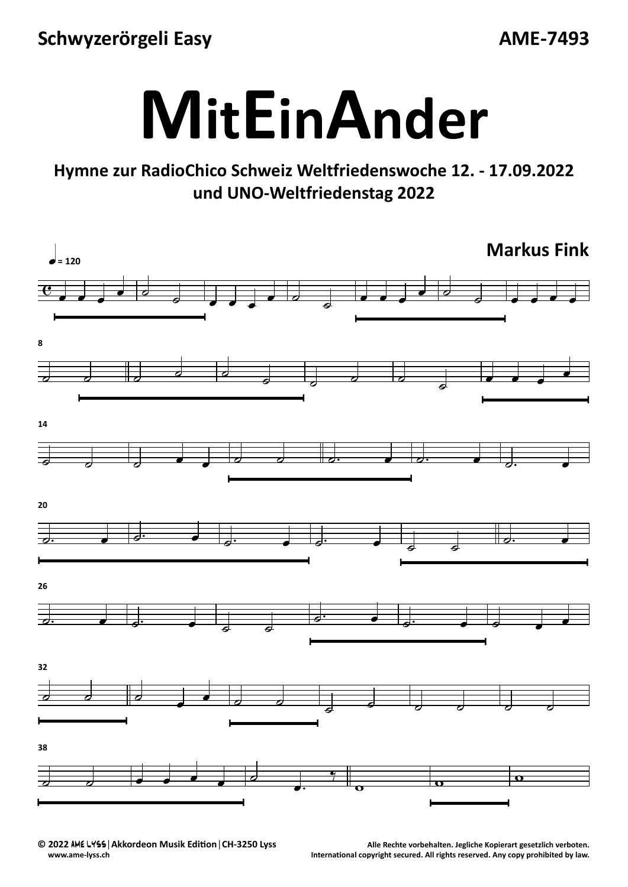**Schwyzerörgeli Easy**

**AME‐7493**



## **Hymne zur RadioChico Schweiz Weltfriedenswoche 12. ‐ 17.09.2022 und UNO‐Weltfriedenstag 2022**